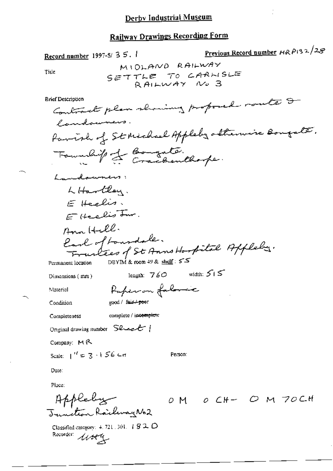Previous Record number MRP132/28 Record number 1997-5/35.1 MIDLAND RAILWAY SETTLE TO CARNISLE Tide RAILWAY No 3 Contract plan showing proposed route I **Brief Description** landoumers. favoral of St Michael Appleby otherwise Bougate. Township of Bougate. Laudouners: LHartlay. E Heelis.  $E$  Healts In. Ann Hell. Earl of Lourdale. Trantées of St Anns Hospital Appleby. DBYIM & room 49 & shelf:  $5.5$ Permanent location length:  $760$  width:  $515$ Dimensions (mm) Raperon faloric Material good / fair-'-peer Condition complete / inco<del>mplet</del>e Completeness Original drawing number  $\mathcal{S}$ le  $\mathcal{L}$  | Company: MR Scale:  $1^{17} = 3 \cdot 156$  cm Person: Date: Place: Appleby<br>Junton Railway No2 OM OCH- OM 70CH Classified category:  $4.721,301,~$   $1.92,$   $\circ$ Recorder used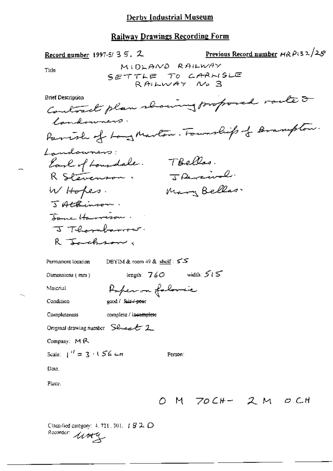Previous Record number  $H \otimes P$ (32/2 $S$ Record number 1997-5/35.2 MIDLAND RAILWAY Tide SETTLE TO CARNISLE RAILWAY No 3 Contract plan showing proposed rocke & **Brief Description** Candowners. Parish of Long Marton. Township of Branchton. Landowners: TBellas.<br>Jarcinal Earl of Loundale. R Stevenson. Mary Belles. W Hopes. 5 Atkinson. Jane Harrison. J Thomborour. R Jackson DBYIM & toom 49 & shelf:  $55$ Permanent location length:  $760$  width:  $515$ Dimensions  ${mn}$ Paper on followic Material good / fair / poor Condition complete / incomplete Completeness Original drawing number Sheet 2 Company:  $M \rightarrow$ Scale:  $1'' = 3 \cdot 156$  cm Person: Date. Place.  $OM$  70 CH - 2 M O CH

Classified category:  $4, 721, 501, 4$   $\mathcal{B}$  2.  $\mathcal{D}$ Recorder 1144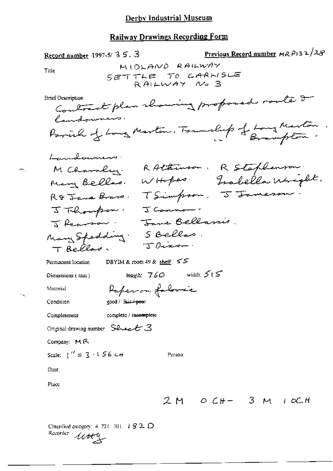Previous Record number  $MRP132/2S$ Record number 1997-5/35.3 MIDLAND RAILWAY Title SETTLE TO CARNISLE RAILWAY No 3 Contract plan showing proposed roote 2 Brief Description Condomness. Parish of Long Martin, Foundlip of Long Martin. Lumalananano: M Charnley RALtimson, R Staphenson.<br>Many Bellas. WHopes. Inabella Wright. Rotane Brass. TSimpson. 5 Jameson J Thlompson. J Connor. J Rearson: Jone Bellanis. Many Spedding. S Belles.  $J$ T Belles. Permanent location DBYIM & room 49 & shelf:  $55$ length:  $760$  width:  $515$ Dimensions (nun) Raperson foloric Material good / fair-+poer Condition complete / incomplete Completeness Original drawing number  $\text{S}}$  code  $\text{S}$ Company: MR Scale:  $1'' = 3 \cdot 156$  CH Person: Date: Place.  $2M$  OCH-  $3M$  LOCH

Classified category:  $4.721$   $301$ ,  $182$  O Recorder utty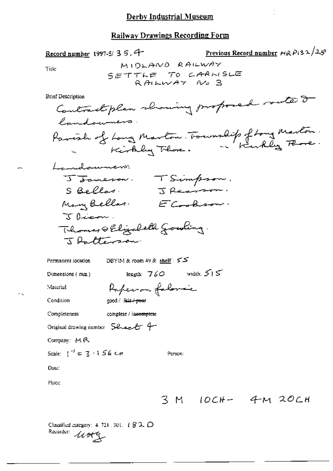Previous Record number  $H \otimes P$ (32/25) Record number 1997-5/35, 4 MIDLAND RAILWAY Title SETTLE TO CARNISLE RAILWAY No 3 **Brief Description** Contract plan showing proposed route 2 landowners. Parish of Long Marton. Township of Long Marton. Landouncros J Jameson. T Simpson.<br>S Bellas. J Reasson. Many Bellas. ECookson. Jacom. Thomas & Elizabeth Gowling. Testeran DBYIM & room 49 & shelf: 55 Permanent location length:  $760$  width:  $515$ Dimensions (mm) Paperon folonic Material Condition good / fair + peer Completeness complete / incomplete Original drawing number Shealt 4 Company: MR Scale:  $1'' = 3.156$  cm Person: Date: Place: 3 M 10CH- 4 M 20CH

Classified category:  $4.721.301.$   $\downarrow$   $\cancel{S}$  2.  $\bigcirc$ Recorder Usty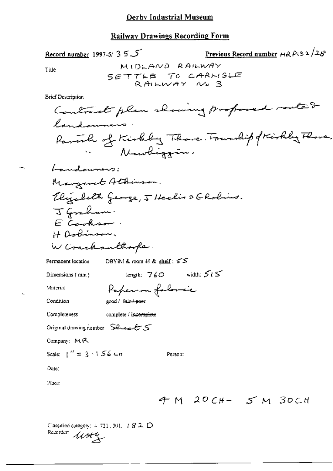| Previous Record number HRP132/28<br>Record number 1997-5/3 $5\sqrt{ }$ |
|------------------------------------------------------------------------|
| MIDLAND RAILWAY<br>Title                                               |
| SETTLE TO CARNISLE<br>RAILWAY No 3                                     |
| <b>Brief Description</b>                                               |
| Contract plan showing proposed routed                                  |
| landanmens                                                             |
| Parcial of Kirkley Thore. Foundit of Kirkley Flore                     |
| Numbiggin.                                                             |
| Landowners:                                                            |
| Mangamet Athinson.                                                     |
| Elijabeth George, 5 Healis & GRobins.                                  |
| J Graham.                                                              |
| E Cookson.                                                             |
| H Dobinson.                                                            |
| W Crackanthoope.                                                       |
| DBYIM & room $49$ & shelf: $55$<br>Permanent location                  |
| length; $760$ width: $515$<br>Dimensions (mm)                          |
| Paper on folonic<br>Material                                           |
| Condition<br>good / fair+poer                                          |
| Completeness<br>complete / incomplete                                  |
| Original drawing number $\,$ Shead $\mathcal{E} \leq$                  |
| Company: MR                                                            |
| Scale: 1″ = 3 ⋅1 56 cm<br>Person:                                      |
| Dute:                                                                  |
| Place:                                                                 |
| 4 M 20 CH - 5 M 30 CH                                                  |
|                                                                        |

Recorder used

k,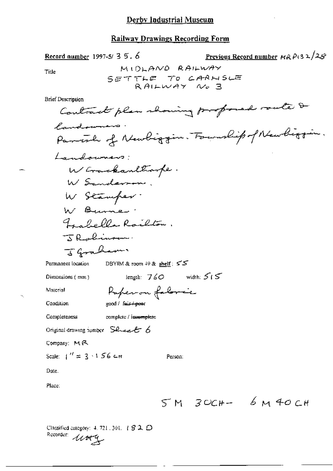$5M$  30CH-  $6M40CH$ 

Classified category: 4, 721, 301, 1 8 2, D Recorder: 11044

щ.

 $\sim$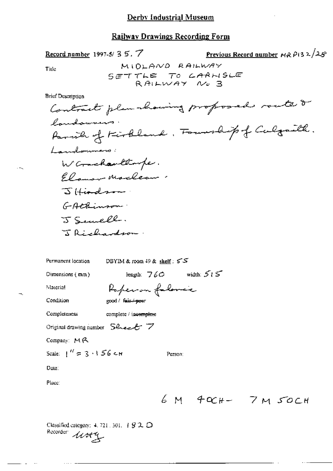| Record number 1997-5/35.7                                         | Previous Record number $H \otimes P$ 13 2/25° |
|-------------------------------------------------------------------|-----------------------------------------------|
| MIDLAND RAILWAY<br>Title                                          |                                               |
| SETTLE TO CARNSLE<br>RAILWAY No 3                                 |                                               |
| <b>Brief Description</b>                                          |                                               |
| Contract plan-howing proposed route or                            |                                               |
| landowners.<br>Parcia of Kirkland, Fourship of Culgarith.         |                                               |
|                                                                   |                                               |
| Landomnero:                                                       |                                               |
| W Crackaultimpe.                                                  |                                               |
| Elanor Maclean.                                                   |                                               |
| $\mathcal{S}$ (findsome                                           |                                               |
| GAthinson                                                         |                                               |
| J Semell.                                                         |                                               |
| J Richardson.                                                     |                                               |
|                                                                   |                                               |
|                                                                   |                                               |
| Permanent location<br>DBYIM & room $49$ & shelf: $55$             |                                               |
| length: $760$ width: $515$<br>$O$ imensions $(mn)$                |                                               |
| Paperon folonce<br>Material                                       |                                               |
| Condition<br>good / feir <del>⁄ poe</del> r                       |                                               |
| Completeness<br>complete / incomplete                             |                                               |
| Original drawing number $\mathsf{S}_\mathsf{check}$ $\mathcal{T}$ |                                               |
| Company: $M$ $R$                                                  |                                               |
| Scale: $1'' = 3.156$ CH<br>Person:                                |                                               |
| Date:                                                             |                                               |
| Place:                                                            |                                               |
|                                                                   | $6M$ 40CH- $7M$ 50CH                          |
|                                                                   |                                               |
|                                                                   |                                               |

 $\ddot{\phantom{a}}$ 

 $\cdots$ 

Classified category: 4, 721, 301,  $+$   $\mathcal{G} \mathcal{L}$   $\mathcal{D}$ Recorder *Work* 

÷.,

 $\sim$ 

 $\overline{a}$ 

 $\ldots$  .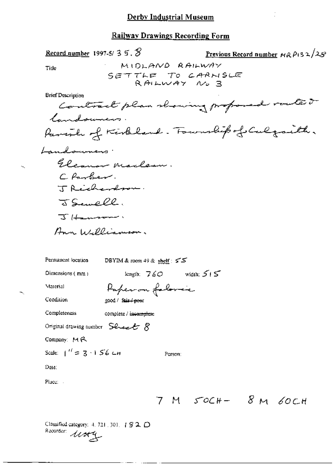| Record number 1997-5/35. $\overline{\mathcal{S}}$      | Previous Record number $H \otimes P$ (32/2 $S$ ) |
|--------------------------------------------------------|--------------------------------------------------|
| MIDLAND RAILWAY<br><b>Title</b>                        |                                                  |
| SETTLE TO CARNSLE<br>RAILWAY NO 3                      |                                                  |
| <b>Brief Description</b>                               |                                                  |
| Contract plan showing proposed routed                  |                                                  |
| Candouners.                                            |                                                  |
| Parish of Kirkland. Fournalipof Culgareth.             |                                                  |
| Landowners.                                            |                                                  |
| Eleanor Marlean.                                       |                                                  |
| C Parker.                                              |                                                  |
| J Richardson.                                          |                                                  |
| J Semell.                                              |                                                  |
| $\overline{3}$ Hamson .                                |                                                  |
| Ann Williamson.                                        |                                                  |
|                                                        |                                                  |
| Permanent location<br>DBYIM & room 49 & shelf : $55$   |                                                  |
| length: $760$ width: $515$<br>Dimensions (mm)          |                                                  |
| Paper on folonce<br>Marerial                           |                                                  |
| Condition<br>good / fair / poer                        |                                                  |
| Completeness<br>complete / incomplete                  |                                                  |
| Original drawing number $\mathcal{S}$ le $\mathcal{S}$ |                                                  |
| Company: MR                                            |                                                  |
| Scale: $1'' = 3 \cdot 156$ CH<br>Person:               |                                                  |
| Date:                                                  |                                                  |
| Place: .                                               |                                                  |
|                                                        | $7M$ $50CH-8M60CH$                               |
|                                                        |                                                  |

 $\ddotsc$ 

Classified category: 4, 721, 301,  $+$   $\mathcal{G}$  2,  $\bigcirc$ Recorder little

 $\mathcal{A}_\infty$ 

ь,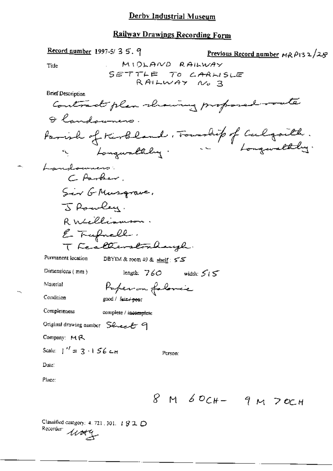| $\frac{\text{Record number}}{\text{1997-5}}$ 3 5.9<br>Previous Record number MR P132/25 |
|-----------------------------------------------------------------------------------------|
| MIDLAND RAILWAY<br>Title                                                                |
| SETTLE TO CARNSLE<br>RAILWAY No 3                                                       |
| <b>Brief Description</b>                                                                |
| Contract plan showing proposed route                                                    |
| & landowners.                                                                           |
| tarish of Kirbland, Township of Calgouth.                                               |
| " Longwallely.                                                                          |
| Landowners.                                                                             |
| C Parker.                                                                               |
| Sir G Musqrave.                                                                         |
| J Romley.                                                                               |
| R Welliamson.                                                                           |
| E Trufnell.                                                                             |
| T Fealtherstonhaugh.                                                                    |
| Permanent location<br>DBYIM & room 49 & shelf $\leq$ 5                                  |
| Dimensions (mm)<br>length: $760$ width: $515$                                           |
| Material<br>Paper on falonce                                                            |
| Condition<br>good / fai <del>r / pe</del> er                                            |
| Completeness<br>complete / incomplete                                                   |
| Original drawing number Sheet 9                                                         |
| Company: MR                                                                             |
| Scale: $1'' = 3 \cdot 156$ cm<br>Person:                                                |
| Date:                                                                                   |
| Place:                                                                                  |
| $8M60CH-9M20CH$                                                                         |
| Classified category $\pm$ 721 -201 $\pm$ 1.21.21.                                       |

Classified Cangella<br>Recorder  $\mathcal{U}\mathcal{H}\mathcal{U}$ 1.301. ISZD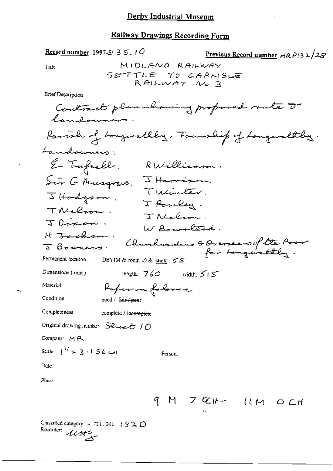$\sim$ 

Rocorder 11849

Record number 1997-5/35, 10 Previous Record number  $H_1 \otimes P_1 \otimes \times \mathbb{Z} \otimes P_2$ MIDLAND RAILWAY Title SETTLE TO CARNISLE RAILWAY No 3 **Brief Description** Contract plan howing proposed route I landowne Parish of Longwathly, Township of Longwaltery. Landouners, E Trefnell, RWilliamson, Sir G Musqrave. J Harrison. Tuinter. JHodgson. I Powley. TNelson. J Atelian. Jaixon. W Brown Cent. H Togham. Charchesodens & Overseas of the Poor J Bouners. Permanent location DBYIM & room 49 & shelf : 55 Dimensions (mm) length:  $760$  width:  $555$ Paperon folonic Material Condition good / fair+peer Completeness complete / incomplete Original drawing number  $\text{S2-4-}$  /  $\bigcirc$ Company: MR Scale:  $1'' = 3.156$  CH Person: Date: Place:  $M$   $7$   $QH - UM$   $QCH$ 9 Classified category:  $4$  721, 301,  $1$   $9$  2,  $0$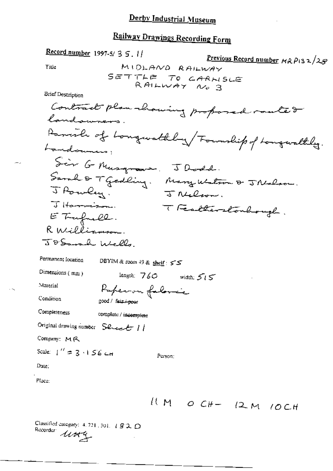| Record number 1997-5/35.11                                   |
|--------------------------------------------------------------|
| Previous Record number MRP132/25<br>Title<br>MIDLAND RAILWAY |
| SETTLE TO CARNSLE<br>RAILWAY No 3                            |
| Brief Description                                            |
| Contract plan howing proposed route &                        |
| landowners.                                                  |
| Panish of Longwathby Foundity of Longwalthy.                 |
| Landounus;                                                   |
| Sin G Musquare. J Dodd.                                      |
| Sarah & T Gedling.<br>Mary Watson & JNelson.                 |
| J Powley.<br>J Nelson.                                       |
| J Harrigon.<br>T Featherstonbough.                           |
| E Trufuell.                                                  |
| R Milliamson.                                                |
| JOSamah Wells.                                               |
| Permanent location<br>DBYIM & room 49 & shelf : $55$         |
| Dimensions (mm)<br>length: $760$<br>width: $515$             |
| Material<br>Paperon faloric                                  |
| Condition<br>3000 / feur-poor                                |
| Completeness<br>complete / incomplete                        |
| Original drawing number Sened 11                             |
| Company: MR                                                  |
| Scale: $1'' = 3 \cdot 156$ cm<br>Person:                     |
| Date:                                                        |
| Place:                                                       |
| $l(M_O OCH-12MIOCH$                                          |

Classified category: 4.721.301.  $1820$ <br>Recorder  $1820$ 

 $-$ .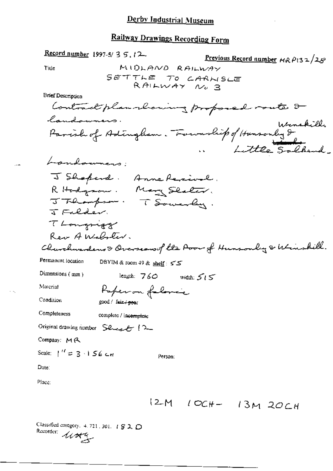Record number 1997-5/3  $5, 12$ Previous Record number HRP132/28 MIDLAND RAILWAY Title SETTLE TO CARNISLE<br>RAILWAY No 3 **Brief Description** Contract plan showing proposed route & landowners. landowners.<br>Parish of Adingham. Fournhip of Hunsonly I<br>Little Salkand. Londowners. J Shoperd. Anne Revival. RHodgrow. Many Slater. J Thampson. T Sowerly. J Falder. Thomgrigg Rear AWebster. Churchwardens & Overseen of the Avor of Hunsonly & Winshill. Permanent location DBYIM & room 49 & shelf: 55 Dimensions  $(mn)$ length:  $760$  width:  $515$ Paperon folonce Material Condition good / fair+900f Completeness complete / incemplete Original drawing number Sensember 12 Company: MR Scale:  $1'' = 3 \cdot 156$  CH Person: Dute: Place:  $12M$   $10C_{H} - 13M$  20CH Classified entegory, 4, 721, 301, 1 § 2, D Recorder: *WH4*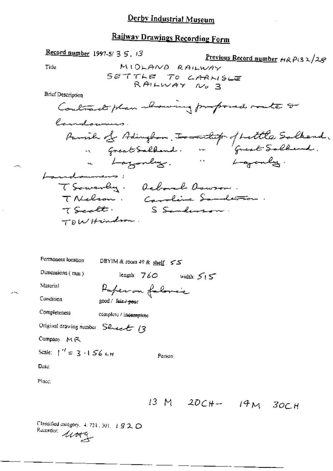| Record number           | 1997-57 3 5, 13           | Previous Record number $HRP(32)/28$ |
|-------------------------|---------------------------|-------------------------------------|
| Title                   | $M10LAPVD$ RAHLWAY        |                                     |
| SET $TE = T0$ CAPN15LE  |                           |                                     |
| Brit Description        | $RHLWAY$ W3               |                                     |
| Cont                    | W3                        |                                     |
| Cont                    | W4                        |                                     |
| Cont                    | W5                        |                                     |
| Count                   | W4                        |                                     |
| Tr                      | W4                        |                                     |
| W5                      | W5                        |                                     |
| Part                    | W6                        |                                     |
| W6                      | W7                        |                                     |
| W7                      | W8                        |                                     |
| W8                      | W8                        |                                     |
| W8                      | W8                        |                                     |
| Formaient location      | DEYM & room 40 & half. 55 |                                     |
| Dimension (mm)          | Length: 760               |                                     |
| Comparison (mm)         | Length: 760               |                                     |
| Comptations (mm)        | Length: 760               |                                     |
| Comptations (mm)        | Point: 25                 |                                     |
| Comptations (mm)        | Point: 26                 |                                     |
| Comptations (mm)        | Point: 26                 |                                     |
| Comptations (mass)      |                           |                                     |
| Comptations, MR         |                           |                                     |
| Comptations, MR         |                           |                                     |
| State: 14 = 3 · 1.56 cm |                           |                                     |
| Data:                   | 14 = 3 · 1.56 cm          |                                     |
| Data:                   | 13 M 20 CH                |                                     |

Classified category, 4, 721, 301, 4  $\mathcal{G} \setminus \mathcal{O}$ <br>Recorder:  $\mathcal{U} \mathcal{H}^{\mathcal{U}}$ 

÷,

 $\ddot{\phantom{a}}$ 

 $\sim$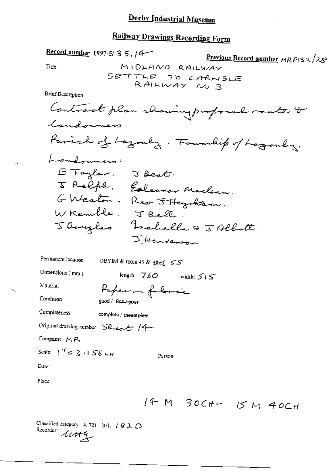| Record number 1997-5/3 5,14 | Previous Record number $HRP(32)/25$ |
|-----------------------------|-------------------------------------|
| Title                       | M1D1AND RAILWAY                     |
| SET THE TO CARI             |                                     |
| RAILWAY W3 3                |                                     |
| BrefDesorption              | CaALWAY W3 3                        |
| Generalism                  |                                     |
| Comlocations                |                                     |
| Formal                      |                                     |
| Comlocations                |                                     |
| Formal                      |                                     |
| Formal                      |                                     |
| Comlocations                |                                     |
| Problem                     |                                     |
| Red,He                      |                                     |
| Red,He                      |                                     |
| Red,He                      |                                     |
| Red,He                      |                                     |
| Comglax                     |                                     |
| Comglax                     |                                     |
| Comglax                     |                                     |
| Comglax                     |                                     |
| Forman location             |                                     |
| Bernan                      |                                     |
| Perman                      |                                     |
| Perman                      |                                     |
| Forman                      |                                     |
| Forman                      |                                     |
| Forman                      |                                     |
| Complot                     |                                     |
| Complot                     |                                     |
| Complot                     |                                     |
| Complot                     |                                     |
| Complot                     |                                     |
| Complot                     |                                     |
| Complot                     |                                     |
| Complot                     |                                     |
| Complot                     |                                     |
| Complot                     |                                     |
| Complot                     |                                     |
| Complot                     |                                     |
| Complot                     |                                     |
| Complot                     |                                     |
| Complot                     |                                     |
| Complot                     |                                     |

Classified category: 4, 721, 301, 1820

 $\sim$  -  $\sim$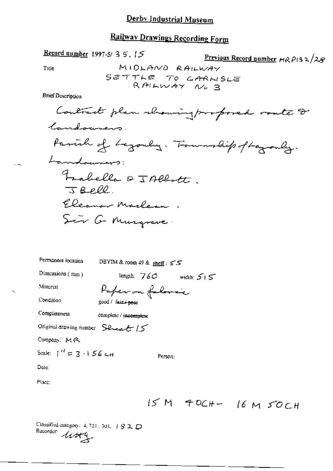Record number 1997-5/ 3 5. 
$$
15
$$

Previous Record number 
$$
HRP(32/25)
$$

Title

**Brief Description** 

| Permanent location               | DBYIM & room 49 & shelf : 55 |
|----------------------------------|------------------------------|
| Dimensions (mm)                  | length: $760$ width: $515$   |
| Material                         | Paper on foloric             |
| Condition                        | good / fair≠peer             |
| Completeness                     | complete / incomplete        |
| Original drawing number Sheet 15 |                              |
| Company: MR                      |                              |
| Scale: $1'' = 3 \cdot 156$ CH    | Person:                      |
| Date:                            |                              |
| Place:                           |                              |
|                                  | $15M$ $40CH - 16M5OCH$       |

Classified category:  $4, 721, 501, -4$   $S$  2,  $D$ Recorder litty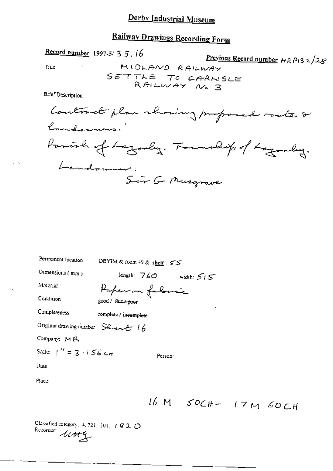## Derby Industrial Museum

# Railway Drawings Recording Form

Title

$$
\underline{\text{Previous Record number}} \text{ A} \text{R} \text{ P} \text{(3)} \text{2} \text{ S}
$$

Brief Description

Record number 1997-5/35.16

J.

| good / fair+peer             |         |                                                            |                                                                                 |                      |
|------------------------------|---------|------------------------------------------------------------|---------------------------------------------------------------------------------|----------------------|
|                              |         |                                                            |                                                                                 |                      |
|                              |         |                                                            |                                                                                 |                      |
|                              |         |                                                            |                                                                                 |                      |
| Scale: $1'' = 3 \cdot 56$ cm | Person: |                                                            |                                                                                 |                      |
|                              |         |                                                            |                                                                                 |                      |
|                              |         |                                                            |                                                                                 |                      |
|                              |         |                                                            |                                                                                 |                      |
|                              |         | complete / incomplete<br>Original drawing number Senset 16 | DBYIM & room 49 & shelf : $55$<br>length: $760$ width: $515$<br>Paperon folonce | 16 M $SOCH-17M$ 60CH |

Classified category: 4, 721, 201,  $\#$   $\mathcal{G}$  2,  $\bigcirc$ Recorder livery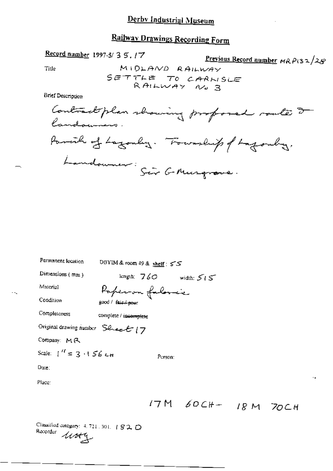Title

 $\ddotsc$ 

Previous Record number  $H \otimes P(3, 2/2, S)$ 

**Brief Description** 

| Permanent location               | DBYIM & room 49 & shelf : 55 |                            |  |
|----------------------------------|------------------------------|----------------------------|--|
| Dimensions (mm)                  |                              | length: $760$ width: $515$ |  |
| Material                         | Paperon folores              |                            |  |
| Condition                        | good / fair pour             |                            |  |
| Completeness                     | complete / incomplete        |                            |  |
| Original drawing number Sheet 17 |                              |                            |  |
| Company: MR                      |                              |                            |  |
| Scale: $1'' = 3 \cdot 156$ cm    |                              | Person:                    |  |
| Date:                            |                              |                            |  |
| Place:                           |                              |                            |  |
|                                  |                              |                            |  |
|                                  |                              | $17M$ 60CH- 18 M 70CH      |  |

Classified category:  $4, 721, 301, 4, 8, 2, 12$ Recorder *list*y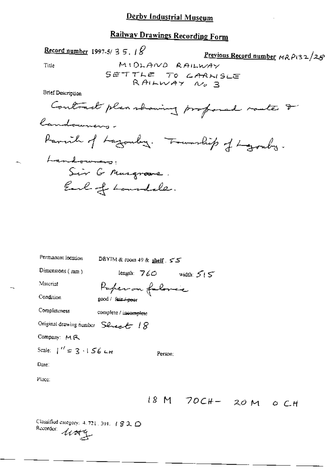MIDLAND RAILWAY

Previous Record number  $MRP(32/28)$ 

Record number 1997-5/35.18

Title

SETTLE TO CARNISLE<br>RAILWAY No 3 **Brief Description** Contract plan rhaving profond routes & landowners. Parcil of Lazonby. Township of Lyonby. Landowners! Sir G Musgrave. Earl of Landele. Permanent location DBYIM & room 49 & shelf. 55 Dimensions (mm) length:  $760$  width:  $515$ Paperon folonic Material Condition good / fair / peer Completeness complete / inconnete Original drawing number Senector 18 Company: MR Scale:  $1'' = 3 \cdot 156$  cm Person: Date: Place:  $18 M$  70CH- 20 M O CH

Classified category: 4, 721, 301,  $\#$  3 2,  $\bigcirc$ Recorder livery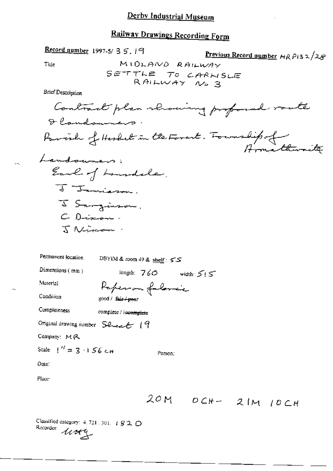Record number 1997-5/35.19 Previous Record number  $HRP132/28$ MIDLAND RAILWAY Tille SETTLE TO CARNISLE RAILWAY No 3 **Brief Description** Contract plan showing profond route Dlandonners. Parish of Hestel in the Forest. Fourabipof Landowners; Earl of Laundele, J Janisson. I Sanginson. C Discon. J Nincon Permanent location DBYIM & room 49 & shelf: 55 Dimensions  $(mn)$ length:  $760$  width:  $515$ Material Paperon folonic Condition good / fair / peer Completeness complete / iscomplete Original drawing number Senect 19 Company: MR Scale:  $1'' = 3 \cdot 1.56$  c.m. Person: Date: Place<sup>-</sup>  $20M$   $0CH-2IM$   $10CH$ 

Classified category: 4, 721, 301, 1 8 2, O Recorder 1100g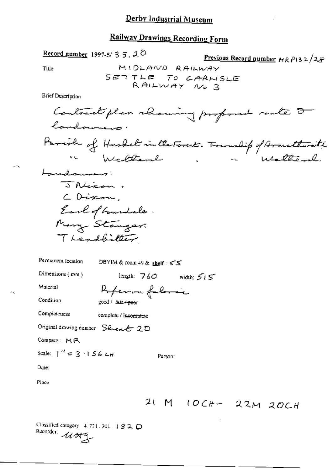Record number 1997-5/35.20 Previous Record number  $H \wedge P$ 132/25 MIDLAND RAILWAY Title SETTLE TO CARNISLE<br>RAILWAY No 3 **Brief Description** Contract plan relaxing proposed route I Candoune o. Parish of Herbel in the Forest. Township of Armathwaite un Welleral Welteral Landammens: J Nicon C Dixon Earl of boundale. Mary Stanger Theadbitter Permanent location DBYIM & room 49 & shelf: 55 Dimensions (mm) length:  $760$  width:  $515$ Paperon folonic Material Condition good / fair / peer Completeness complete / incomplete Original drawing number Seneed 20 Company: MR Scale:  $1'' = 2 \cdot 156$  cm Person; Date: Place. 21 M 10CH- 22M 20CH

Classified category:  $4.721.301.$   $192.$   $\Box$ Recorder: 11049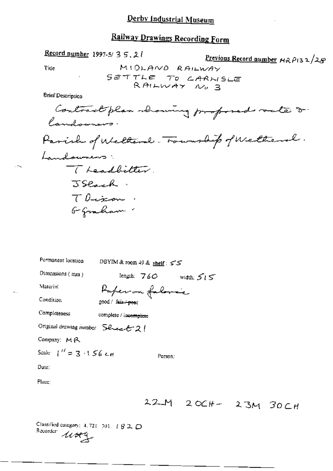Record number 1997-5/35.21 Previous Record number  $H \otimes \rho_1$ 32/25 MIDLAND RAILWAY Title SETTLE TO CARNISLE<br>RAILWAY NO 3 **Brief Description** Contract plan moving proposed vate o landowners. Parish of Welterne Township of Welternal. Landowners: Theodbitter.

| Permanent location                | DBYIM & room 49 & shelf : 55 |
|-----------------------------------|------------------------------|
| Dimensions (mm)                   | length: $760$ width: $515$   |
| Material                          | Paper on faloric             |
| Condition                         | good / fair peer             |
| Completeness                      | complete / incomplete        |
| Original drawing number Sement 2! |                              |
| Company: MR                       |                              |
| Scale: $1'' = 3.156c_H$           | Person:                      |
| Date:                             |                              |
| Place:                            |                              |
|                                   | 22M<br>$2OCH - 23M$<br>30 C  |
|                                   |                              |

Н

Classified category: 4, 721-501,  $\#$   $\mathcal{G}$  2,  $\bigcirc$ Recorder *use*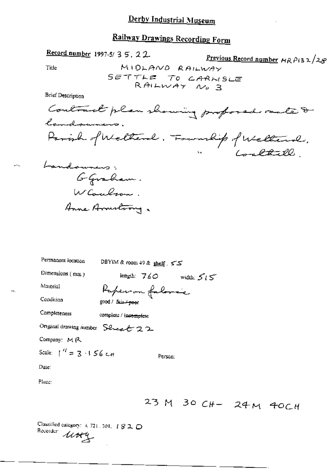Record number 1997-5/35, 22

Previous Record number  $H \otimes P$ 132/2 $\mathcal{S}$ 

Tide

**Brief Description** 



Landowners, GGraham. WCoulson. Anne Armstrong a

| Permanent location                | DBYIM & room 49 & shelf 55     |  |  |  |  |
|-----------------------------------|--------------------------------|--|--|--|--|
| Dimensions (mm)                   | length: $760$<br>width: $5/5$  |  |  |  |  |
| Material                          | Paper on faloric               |  |  |  |  |
| Condition                         | good / fair <del>/ poo</del> r |  |  |  |  |
| Completeness                      | complete / incomplete          |  |  |  |  |
| Onginal drawing number Senecal 22 |                                |  |  |  |  |
| Company: MR                       |                                |  |  |  |  |
| Scale: $1'' = 3 \cdot 156$ cm     | Person:                        |  |  |  |  |
| Date:                             |                                |  |  |  |  |
| Place:                            |                                |  |  |  |  |
|                                   |                                |  |  |  |  |

23 M 30 CH- 24 M 40CH

Classified category:  $4, 721, 501, 4, 8, 2, 0$ Recorder *Work*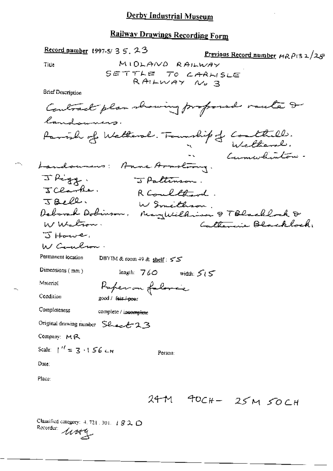$\frac{\text{Record number}}{\text{Number}}$  1997-5/35, 23 Previous Record number  $H \wedge P$ (32/25 MIDLAND RAILWAY Title SETTLE TO CARNISLE RAILWAY No 3 **Brief Description** Contract plan showing proposed voute & landowners. Parish of Wellard. Township of Coaltiells. Cumwhitton -Landonners: Anne Armstrong. J Rigg. J Paltinson. skigg. R Comellement.  $TBell.$ W Smithson. Deborah Dobinson, MaryWilliams & TBlacklock & W Walton. Catherine Blacklock J Hower.  $M$   $C$  and  $P$ Permanent location DBYIM & room 49 & shelf: 55 Dimensions (mm) length:  $760$  width:  $515$ Material Paperon folores Condition good / feir / poer Completeness complete / incomplete Original drawing number Sheel 23 Company: MR Scale:  $1'' = 3 \cdot 156$  CH Person: Date: Place:  $2441$   $40$ CH-  $25M$   $50$ CH Classified category: 4, 721, 301, 1820 Recorder usery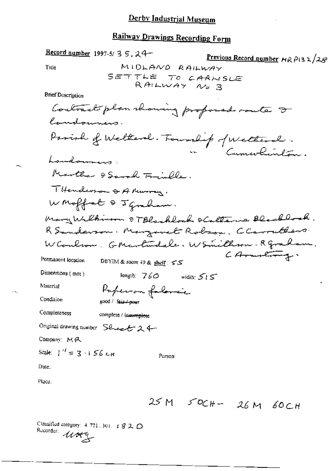Record number 1997-5/35, 24-Previous Record number  $H \otimes P$ 132/2 $\mathcal{G}$ MIDLAND RAILWAY Title SETTLE TO CARNISLE RAILWAY No 3 **Brief Description** Contract plan rhowing proposed route I Candouning. Parish of Welthernl. Township of Welternl. Cumwhinten. Landownson Martha & Sarah Frinkle. THenderson & A Nurray, WMoffat & Ignalam. Mary Wilkimson & TBlacklock scatteries Blacklock. R Sanderson. Margaret Robson. CCarruthers. W Coulson. G Martindale. W Smithson. R Graham. CArmoling. Permanent location DBYIM & room 49 & shelf: 55 Dimensions (mn) length:  $760$  width:  $515$ Material Paperon folonic Condition good / fair Looer Completeness complete / incomplete Original drawing number Sheet 24-Company: MR Scale:  $1'' = 3 \cdot 156$  cm Person: Dute; Place:  $25M$   $50CH-26M$  60CH

Classified category: 4-721, 301, 1820 Recorder 1100g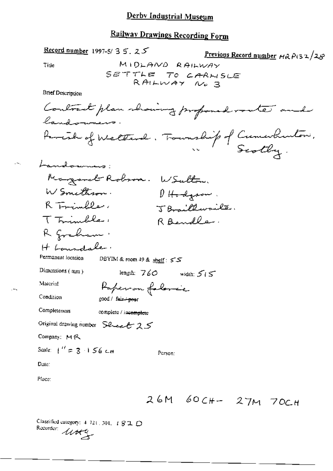| <u> 22000 - 220 - 220 - 220 - 220 - 220 - 220 - 220 - 220 - 220 - 220 - 220 - 220 - 220 - 220 - 220 - 220 - 220 - 2</u> |
|-------------------------------------------------------------------------------------------------------------------------|
| Record number 1997-5/35.25<br>2gevious Record number HR P132/2ge                                                        |
| MIDLAND RAILWAY<br>Title                                                                                                |
| SETTLE TO CARNSLE                                                                                                       |
| RAILWAY No 3<br><b>Brief Description</b>                                                                                |
|                                                                                                                         |
| Contract plan showing proposed route and<br>landommens                                                                  |
| Parcial of Welterne. Township of Cumerchanton.                                                                          |
| bandorumus:                                                                                                             |
| Margaret Robron.<br>WSulton,                                                                                            |
| W Smitteron.<br>$D$ Hodgson.                                                                                            |
| R Frimble.<br>JBraithwaile.                                                                                             |
| T Friendla,<br>R Bendle.                                                                                                |
| R graham.                                                                                                               |
| H boundale.                                                                                                             |
| Permanent location<br>DBYIM & room 49 & shelf: $55$                                                                     |
| Dimensions (nm)<br>length: $760$ width: $515$                                                                           |
| Material<br>Paperon folonic                                                                                             |
| Condition<br>good / fair / poor                                                                                         |
| Completeness<br>complete / incomplete                                                                                   |
| Original drawing number Seneed 25                                                                                       |
| Company: MR                                                                                                             |
| Scale: $1'' = 3 + 56$ cm<br>Person:                                                                                     |
| Date:                                                                                                                   |
| Place:                                                                                                                  |
| 26M 60CH- 27M 70CH                                                                                                      |

Classified category:  $4.721$ , 301,  $4.82$ ,  $D$ Classine<br>Recorder *Work* 

 $\mathbb{Z} \sim \mathbb{Z}$ 

 $-1$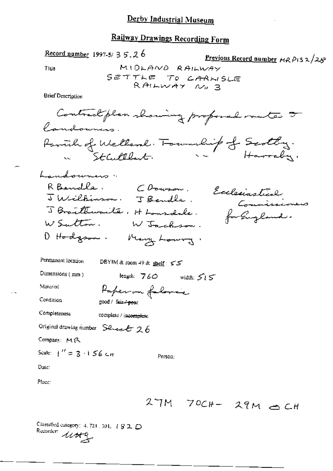Title

Previous Record number HR P132/25

**Brief Description** 

Record number 1997-5/35.26

Permanent location DBYIM & room 49 & shelf: 55 Dimensions (mm) length:  $760$  width:  $515$ Material Paperon followic Condition good / fair / poor Completeness complete / incomplete Original drawing number Sheet 26 Company: MR Scale:  $1'' = 3 \cdot 156$  cm Person:

Date:

Place:

Classified category: 4, 721, 301, 4 8 2, D Recorder: 1149